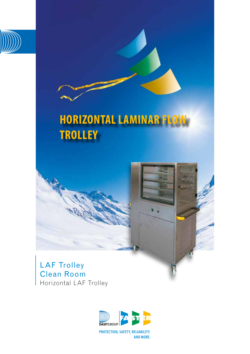

# **HORIZONTAL LAMINAR FLOW TROLLEY**





**PROTECTION, SAFETY, RELIABILITY. AND MORE.**